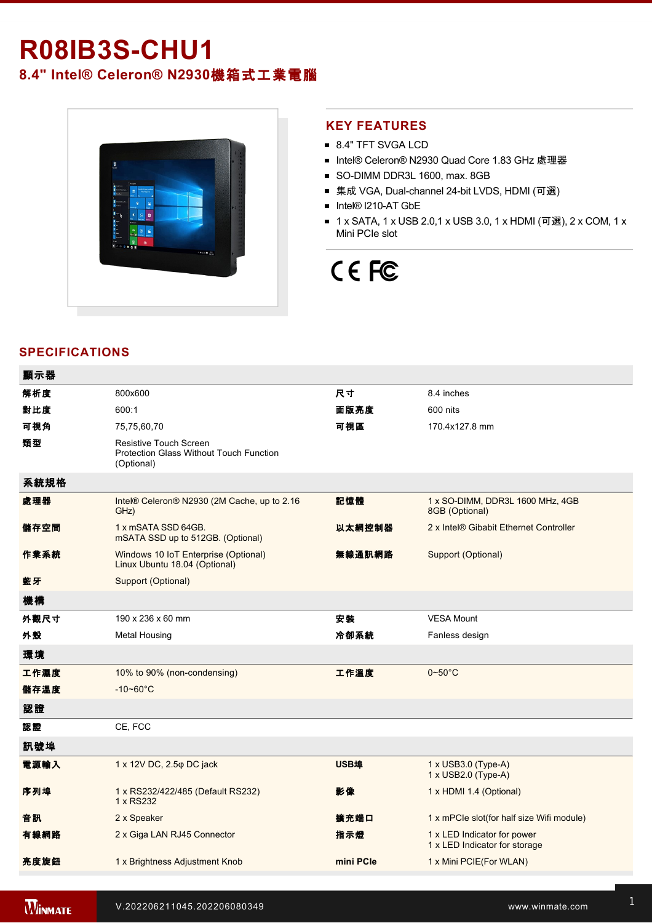## **R08IB3S-CHU1**

**8.4" Intel® Celeron® N2930**機箱式工業電腦



#### **KEY FEATURES**

- 8.4" TFT SVGA LCD
- Intel® Celeron® N2930 Quad Core 1.83 GHz 處理器
- SO-DIMM DDR3L 1600, max. 8GB
- 集成 VGA, Dual-channel 24-bit LVDS, HDMI (可選)
- Intel® I210-AT GbE
- 1 x SATA, 1 x USB 2.0,1 x USB 3.0, 1 x HDMI (可選), 2 x COM, 1 x Mini PCIe slot

# CE FC

### **SPECIFICATIONS**

| 顯示器  |                                                                                        |           |                                                              |
|------|----------------------------------------------------------------------------------------|-----------|--------------------------------------------------------------|
| 解析度  | 800x600                                                                                | 尺寸        | 8.4 inches                                                   |
| 對比度  | 600:1                                                                                  | 面版亮度      | 600 nits                                                     |
| 可視角  | 75,75,60,70                                                                            | 可視區       | 170.4x127.8 mm                                               |
| 類型   | <b>Resistive Touch Screen</b><br>Protection Glass Without Touch Function<br>(Optional) |           |                                                              |
| 系統規格 |                                                                                        |           |                                                              |
| 處理器  | Intel® Celeron® N2930 (2M Cache, up to 2.16<br>GHz)                                    | 記憶體       | 1 x SO-DIMM, DDR3L 1600 MHz, 4GB<br>8GB (Optional)           |
| 儲存空間 | 1 x mSATA SSD 64GB.<br>mSATA SSD up to 512GB. (Optional)                               | 以太網控制器    | 2 x Intel® Gibabit Ethernet Controller                       |
| 作業系統 | Windows 10 IoT Enterprise (Optional)<br>Linux Ubuntu 18.04 (Optional)                  | 無線通訊網路    | Support (Optional)                                           |
| 藍牙   | Support (Optional)                                                                     |           |                                                              |
| 機構   |                                                                                        |           |                                                              |
| 外觀尺寸 | 190 x 236 x 60 mm                                                                      | 安装        | <b>VESA Mount</b>                                            |
| 外殼   | <b>Metal Housing</b>                                                                   | 冷卻系統      | Fanless design                                               |
| 環境   |                                                                                        |           |                                                              |
| 工作濕度 | 10% to 90% (non-condensing)                                                            | 工作溫度      | $0 - 50$ °C                                                  |
| 儲存溫度 | $-10 - 60^{\circ}$ C                                                                   |           |                                                              |
| 認證   |                                                                                        |           |                                                              |
| 認證   | CE, FCC                                                                                |           |                                                              |
| 訊號埠  |                                                                                        |           |                                                              |
| 電源輸入 | 1 x 12V DC, 2.5 $\varphi$ DC jack                                                      | USB埠      | 1 x USB3.0 (Type-A)<br>1 x USB2.0 (Type-A)                   |
| 序列埠  | 1 x RS232/422/485 (Default RS232)<br>1 x RS232                                         | 影像        | 1 x HDMI 1.4 (Optional)                                      |
| 音訊   | 2 x Speaker                                                                            | 擴充端口      | 1 x mPCle slot(for half size Wifi module)                    |
| 有線網路 | 2 x Giga LAN RJ45 Connector                                                            | 指示燈       | 1 x LED Indicator for power<br>1 x LED Indicator for storage |
| 亮度旋鈕 | 1 x Brightness Adjustment Knob                                                         | mini PCIe | 1 x Mini PCIE(For WLAN)                                      |
|      |                                                                                        |           |                                                              |